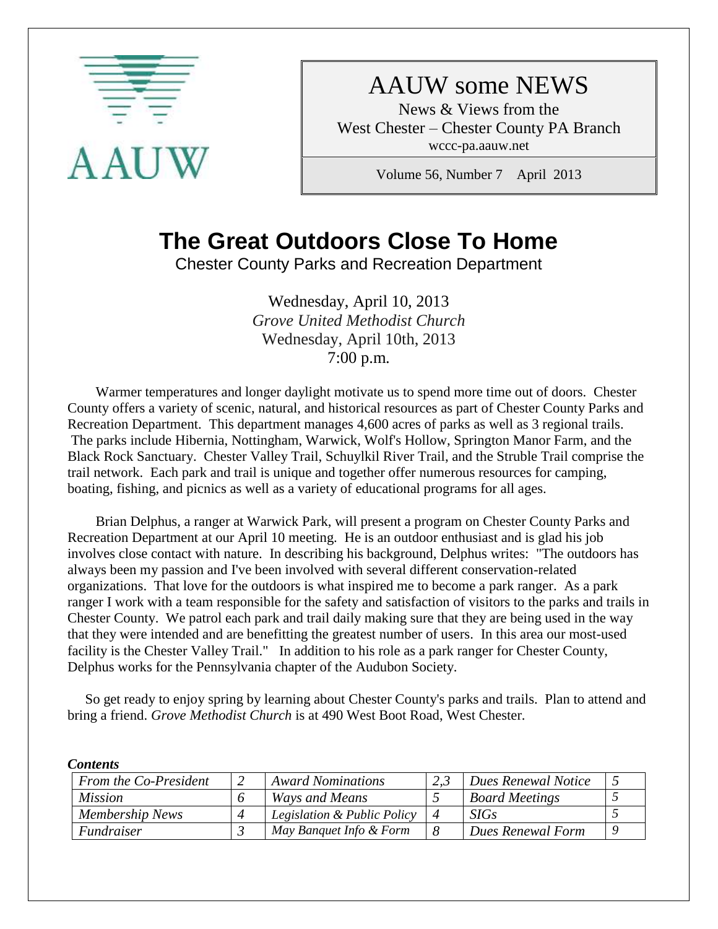

AAUW some NEWS

News & Views from the West Chester – Chester County PA Branch wccc-pa.aauw.net

Volume 56, Number 7 April 2013

# **The Great Outdoors Close To Home**

Chester County Parks and Recreation Department

Wednesday, April 10, 2013 *Grove United Methodist Church* Wednesday, April 10th, 2013 7:00 p.m.

 Warmer temperatures and longer daylight motivate us to spend more time out of doors. Chester County offers a variety of scenic, natural, and historical resources as part of Chester County Parks and Recreation Department. This department manages 4,600 acres of parks as well as 3 regional trails. The parks include Hibernia, Nottingham, Warwick, Wolf's Hollow, Springton Manor Farm, and the Black Rock Sanctuary. Chester Valley Trail, Schuylkil River Trail, and the Struble Trail comprise the trail network. Each park and trail is unique and together offer numerous resources for camping, boating, fishing, and picnics as well as a variety of educational programs for all ages.

 Brian Delphus, a ranger at Warwick Park, will present a program on Chester County Parks and Recreation Department at our April 10 meeting. He is an outdoor enthusiast and is glad his job involves close contact with nature. In describing his background, Delphus writes: "The outdoors has always been my passion and I've been involved with several different conservation-related organizations. That love for the outdoors is what inspired me to become a park ranger. As a park ranger I work with a team responsible for the safety and satisfaction of visitors to the parks and trails in Chester County. We patrol each park and trail daily making sure that they are being used in the way that they were intended and are benefitting the greatest number of users. In this area our most-used facility is the Chester Valley Trail." In addition to his role as a park ranger for Chester County, Delphus works for the Pennsylvania chapter of the Audubon Society.

So get ready to enjoy spring by learning about Chester County's parks and trails. Plan to attend and bring a friend. *Grove Methodist Church* is at 490 West Boot Road, West Chester.

| <u>UWW. MARTINI MARTINI SEP</u> |  |                             |  |                       |  |
|---------------------------------|--|-----------------------------|--|-----------------------|--|
| From the Co-President           |  | <b>Award Nominations</b>    |  | Dues Renewal Notice   |  |
| <i>Mission</i>                  |  | Ways and Means              |  | <b>Board Meetings</b> |  |
| Membership News                 |  | Legislation & Public Policy |  | <i>SIGs</i>           |  |
| Fundraiser                      |  | May Banquet Info & Form     |  | Dues Renewal Form     |  |

*Contents*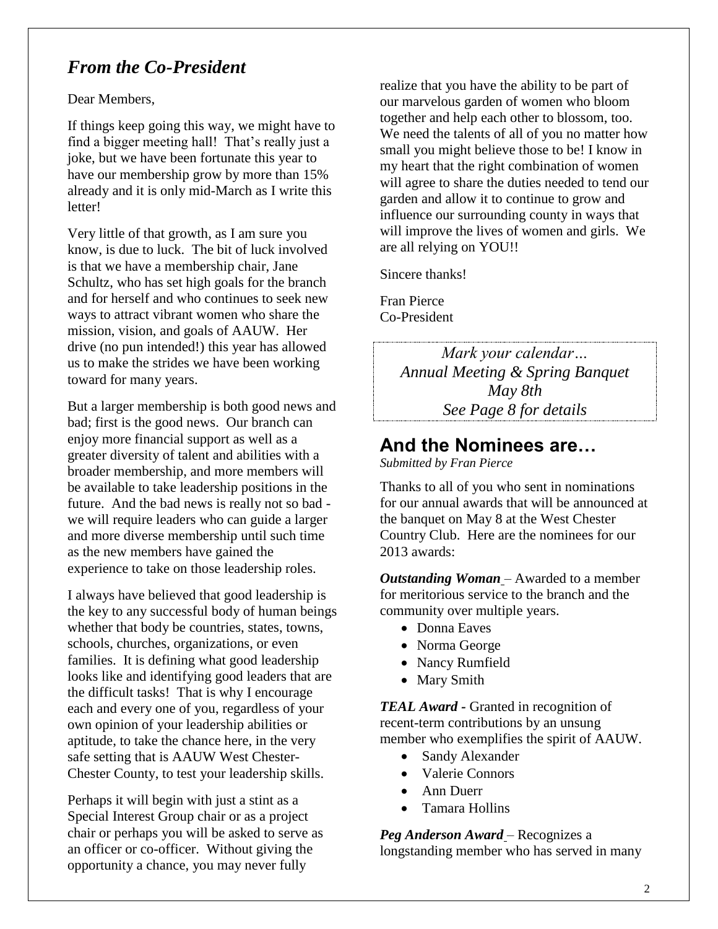## *From the Co-President*

Dear Members,

If things keep going this way, we might have to find a bigger meeting hall! That's really just a joke, but we have been fortunate this year to have our membership grow by more than 15% already and it is only mid-March as I write this letter!

Very little of that growth, as I am sure you know, is due to luck. The bit of luck involved is that we have a membership chair, Jane Schultz, who has set high goals for the branch and for herself and who continues to seek new ways to attract vibrant women who share the mission, vision, and goals of AAUW. Her drive (no pun intended!) this year has allowed us to make the strides we have been working toward for many years.

But a larger membership is both good news and bad; first is the good news. Our branch can enjoy more financial support as well as a greater diversity of talent and abilities with a broader membership, and more members will be available to take leadership positions in the future. And the bad news is really not so bad we will require leaders who can guide a larger and more diverse membership until such time as the new members have gained the experience to take on those leadership roles.

I always have believed that good leadership is the key to any successful body of human beings whether that body be countries, states, towns, schools, churches, organizations, or even families. It is defining what good leadership looks like and identifying good leaders that are the difficult tasks! That is why I encourage each and every one of you, regardless of your own opinion of your leadership abilities or aptitude, to take the chance here, in the very safe setting that is AAUW West Chester-Chester County, to test your leadership skills.

Perhaps it will begin with just a stint as a Special Interest Group chair or as a project chair or perhaps you will be asked to serve as an officer or co-officer. Without giving the opportunity a chance, you may never fully

realize that you have the ability to be part of our marvelous garden of women who bloom together and help each other to blossom, too. We need the talents of all of you no matter how small you might believe those to be! I know in my heart that the right combination of women will agree to share the duties needed to tend our garden and allow it to continue to grow and influence our surrounding county in ways that will improve the lives of women and girls. We are all relying on YOU!!

Sincere thanks!

Fran Pierce Co-President

> *Mark your calendar… Annual Meeting & Spring Banquet May 8th See Page 8 for details*

## **And the Nominees are…**

*Submitted by Fran Pierce*

Thanks to all of you who sent in nominations for our annual awards that will be announced at the banquet on May 8 at the West Chester Country Club. Here are the nominees for our 2013 awards:

*Outstanding Woman* – Awarded to a member for meritorious service to the branch and the community over multiple years.

- Donna Eaves
- Norma George
- Nancy Rumfield
- Mary Smith

*TEAL Award -* Granted in recognition of recent-term contributions by an unsung member who exemplifies the spirit of AAUW.

- Sandy Alexander
- Valerie Connors
- Ann Duerr
- Tamara Hollins

*Peg Anderson Award* – Recognizes a longstanding member who has served in many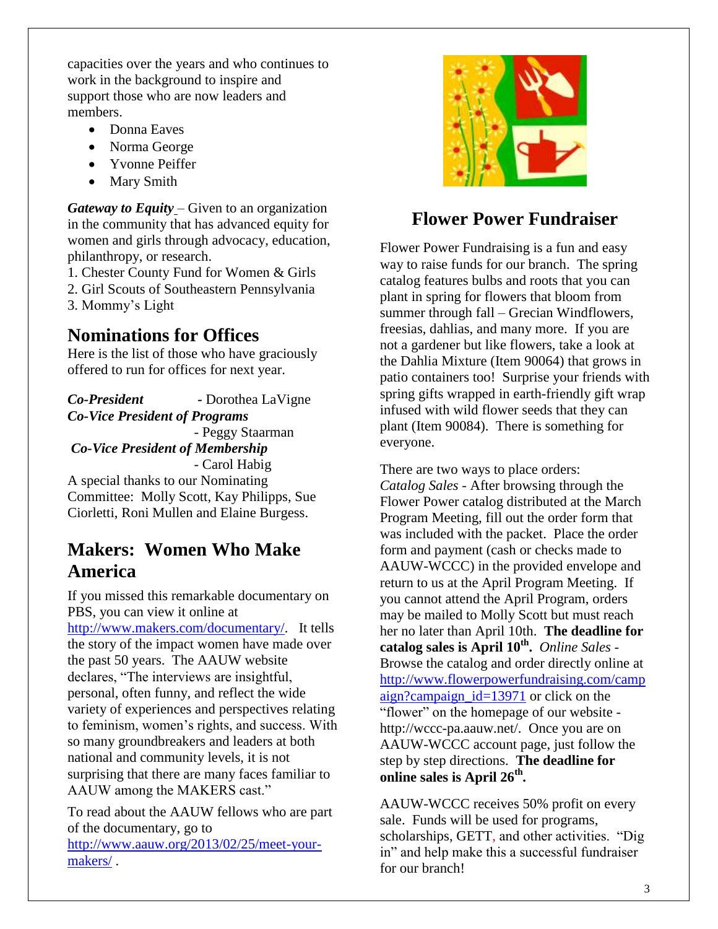capacities over the years and who continues to work in the background to inspire and support those who are now leaders and members.

- Donna Eaves
- Norma George
- Yvonne Peiffer
- Mary Smith

*Gateway to Equity* – Given to an organization in the community that has advanced equity for women and girls through advocacy, education, philanthropy, or research.

- 1. Chester County Fund for Women & Girls
- 2. Girl Scouts of Southeastern Pennsylvania
- 3. Mommy's Light

## **Nominations for Offices**

Here is the list of those who have graciously offered to run for offices for next year.

*Co-President -* Dorothea LaVigne *Co-Vice President of Programs* - Peggy Staarman *Co-Vice President of Membership* - Carol Habig

A special thanks to our Nominating Committee: Molly Scott, Kay Philipps, Sue Ciorletti, Roni Mullen and Elaine Burgess.

## **Makers: Women Who Make America**

If you missed this remarkable documentary on PBS, you can view it online at

[http://www.makers.com/documentary/.](http://www.makers.com/documentary/) It tells the story of the impact women have made over the past 50 years. The AAUW website declares, "The interviews are insightful, personal, often funny, and reflect the wide variety of experiences and perspectives relating to feminism, women's rights, and success. With so many groundbreakers and leaders at both national and community levels, it is not surprising that there are many faces familiar to AAUW among the MAKERS cast."

To read about the AAUW fellows who are part of the documentary, go to [http://www.aauw.org/2013/02/25/meet-your](http://www.aauw.org/2013/02/25/meet-your-makers/)[makers/](http://www.aauw.org/2013/02/25/meet-your-makers/) .



## **Flower Power Fundraiser**

Flower Power Fundraising is a fun and easy way to raise funds for our branch. The spring catalog features bulbs and roots that you can plant in spring for flowers that bloom from summer through fall – Grecian Windflowers, freesias, dahlias, and many more. If you are not a gardener but like flowers, take a look at the Dahlia Mixture (Item 90064) that grows in patio containers too! Surprise your friends with spring gifts wrapped in earth-friendly gift wrap infused with wild flower seeds that they can plant (Item 90084). There is something for everyone.

There are two ways to place orders: *Catalog Sales* - After browsing through the Flower Power catalog distributed at the March Program Meeting, fill out the order form that was included with the packet. Place the order form and payment (cash or checks made to AAUW-WCCC) in the provided envelope and return to us at the April Program Meeting. If you cannot attend the April Program, orders may be mailed to Molly Scott but must reach her no later than April 10th. **The deadline for catalog sales is April 10th .** *Online Sales* - Browse the catalog and order directly online at [http://www.flowerpowerfundraising.com/camp](http://www.flowerpowerfundraising.com/campaign?campaign_id=13971) [aign?campaign\\_id=13971](http://www.flowerpowerfundraising.com/campaign?campaign_id=13971) or click on the "flower" on the homepage of our website http://wccc-pa.aauw.net/. Once you are on AAUW-WCCC account page, just follow the step by step directions. **The deadline for online sales is April 26th .** 

AAUW-WCCC receives 50% profit on every sale. Funds will be used for programs, scholarships, GETT, and other activities. "Dig in" and help make this a successful fundraiser for our branch!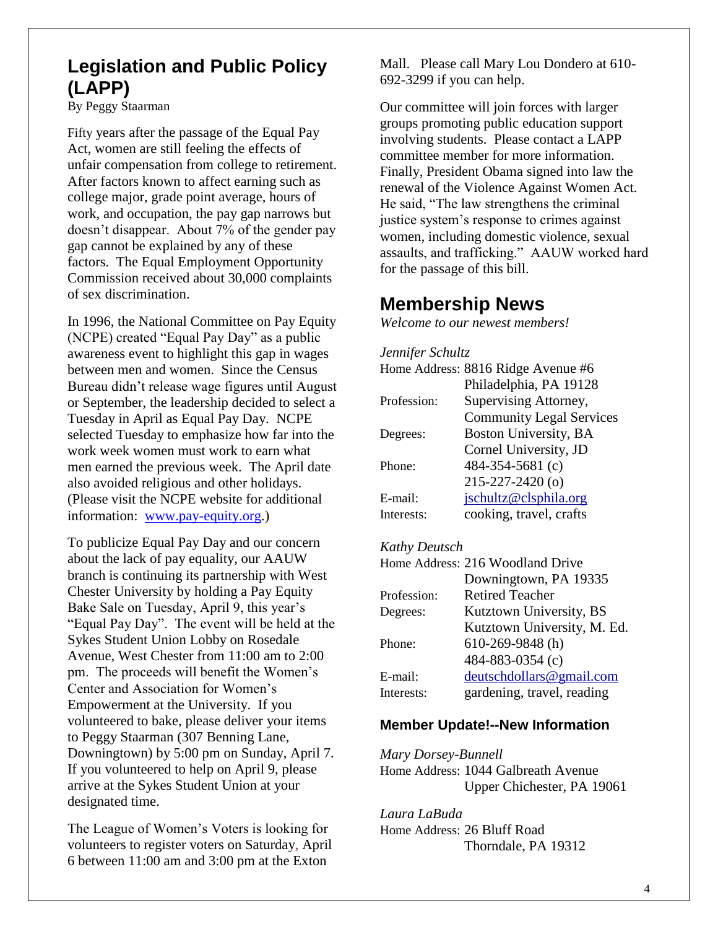## **Legislation and Public Policy (LAPP)**

By Peggy Staarman

Fifty years after the passage of the Equal Pay Act, women are still feeling the effects of unfair compensation from college to retirement. After factors known to affect earning such as college major, grade point average, hours of work, and occupation, the pay gap narrows but doesn't disappear. About 7% of the gender pay gap cannot be explained by any of these factors. The Equal Employment Opportunity Commission received about 30,000 complaints of sex discrimination.

In 1996, the National Committee on Pay Equity (NCPE) created "Equal Pay Day" as a public awareness event to highlight this gap in wages between men and women. Since the Census Bureau didn't release wage figures until August or September, the leadership decided to select a Tuesday in April as Equal Pay Day. NCPE selected Tuesday to emphasize how far into the work week women must work to earn what men earned the previous week. The April date also avoided religious and other holidays. (Please visit the NCPE website for additional information: [www.pay-equity.org.](http://www.pay-equity.org/))

To publicize Equal Pay Day and our concern about the lack of pay equality, our AAUW branch is continuing its partnership with West Chester University by holding a Pay Equity Bake Sale on Tuesday, April 9, this year's "Equal Pay Day". The event will be held at the Sykes Student Union Lobby on Rosedale Avenue, West Chester from 11:00 am to 2:00 pm. The proceeds will benefit the Women's Center and Association for Women's Empowerment at the University. If you volunteered to bake, please deliver your items to Peggy Staarman (307 Benning Lane, Downingtown) by 5:00 pm on Sunday, April 7. If you volunteered to help on April 9, please arrive at the Sykes Student Union at your designated time.

The League of Women's Voters is looking for volunteers to register voters on Saturday, April 6 between 11:00 am and 3:00 pm at the Exton

Mall. Please call Mary Lou Dondero at 610- 692-3299 if you can help.

Our committee will join forces with larger groups promoting public education support involving students. Please contact a LAPP committee member for more information. Finally, President Obama signed into law the renewal of the Violence Against Women Act. He said, "The law strengthens the criminal justice system's response to crimes against women, including domestic violence, sexual assaults, and trafficking." AAUW worked hard for the passage of this bill.

# **Membership News**

*Welcome to our newest members!*

*Jennifer Schultz*

|             | Home Address: 8816 Ridge Avenue #6 |
|-------------|------------------------------------|
|             | Philadelphia, PA 19128             |
| Profession: | Supervising Attorney,              |
|             | <b>Community Legal Services</b>    |
| Degrees:    | Boston University, BA              |
|             | Cornel University, JD              |
| Phone:      | 484-354-5681 (c)                   |
|             | 215-227-2420 (o)                   |
| E-mail:     | jschultz@clsphila.org              |
| Interests:  | cooking, travel, crafts            |

#### *Kathy Deutsch*

|             | Home Address: 216 Woodland Drive |
|-------------|----------------------------------|
|             | Downingtown, PA 19335            |
| Profession: | <b>Retired Teacher</b>           |
| Degrees:    | Kutztown University, BS          |
|             | Kutztown University, M. Ed.      |
| Phone:      | 610-269-9848 (h)                 |
|             | 484-883-0354 (c)                 |
| E-mail:     | deutschdollars@gmail.com         |
| Interests:  | gardening, travel, reading       |

#### **Member Update!--New Information**

*Mary Dorsey-Bunnell* Home Address: 1044 Galbreath Avenue Upper Chichester, PA 19061

#### *Laura LaBuda*

Home Address: 26 Bluff Road Thorndale, PA 19312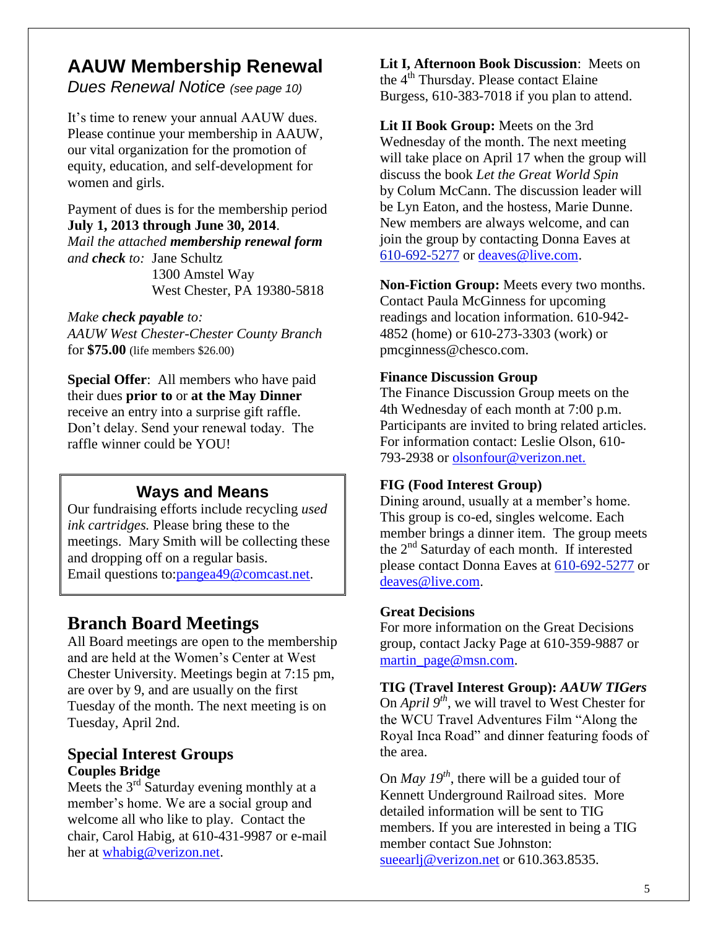# **AAUW Membership Renewal**

*Dues Renewal Notice (see page 10)*

It's time to renew your annual AAUW dues. Please continue your membership in AAUW, our vital organization for the promotion of equity, education, and self-development for women and girls.

Payment of dues is for the membership period **July 1, 2013 through June 30, 2014**. *Mail the attached membership renewal form and check to:* Jane Schultz

1300 Amstel Way West Chester, PA 19380-5818

#### *Make check payable to:*

*AAUW West Chester-Chester County Branch* for **\$75.00** (life members \$26.00)

**Special Offer**: All members who have paid their dues **prior to** or **at the May Dinner** receive an entry into a surprise gift raffle. Don't delay. Send your renewal today. The raffle winner could be YOU!

## **Ways and Means**

Our fundraising efforts include recycling *used ink cartridges.* Please bring these to the meetings. Mary Smith will be collecting these and dropping off on a regular basis. Email questions to: pangea49@comcast.net.

## **Branch Board Meetings**

All Board meetings are open to the membership and are held at the Women's Center at West Chester University. Meetings begin at 7:15 pm, are over by 9, and are usually on the first Tuesday of the month. The next meeting is on Tuesday, April 2nd.

## **Special Interest Groups Couples Bridge**

Meets the  $3<sup>rd</sup>$  Saturday evening monthly at a member's home. We are a social group and welcome all who like to play. Contact the chair, Carol Habig, at 610-431-9987 or e-mail her at [whabig@verizon.net.](mailto:whabig@verizon.net)

**Lit I, Afternoon Book Discussion**: Meets on the  $4<sup>th</sup>$  Thursday. Please contact Elaine Burgess, 610-383-7018 if you plan to attend.

**Lit II Book Group:** Meets on the 3rd Wednesday of the month. The next meeting will take place on April 17 when the group will discuss the book *Let the Great World Spin* by Colum McCann. The discussion leader will be Lyn Eaton, and the hostess, Marie Dunne. New members are always welcome, and can join the group by contacting Donna Eaves at [610-692-5277](tel:/610-692-5277) or [deaves@live.com.](mailto:deaves@live.com)

**Non-Fiction Group:** Meets every two months. Contact Paula McGinness for upcoming readings and location information. 610-942- 4852 (home) or 610-273-3303 (work) or pmcginness@chesco.com.

#### **Finance Discussion Group**

The Finance Discussion Group meets on the 4th Wednesday of each month at 7:00 p.m. Participants are invited to bring related articles. For information contact: Leslie Olson, 610- 793-2938 or olsonfour@verizon.net.

#### **FIG (Food Interest Group)**

Dining around, usually at a member's home. This group is co-ed, singles welcome. Each member brings a dinner item. The group meets the 2nd Saturday of each month. If interested please contact Donna Eaves at [610-692-5277](tel:/610-692-5277) or [deaves@live.com.](mailto:deaves@live.com)

#### **Great Decisions**

For more information on the Great Decisions group, contact Jacky Page at 610-359-9887 or [martin\\_page@msn.com.](mailto:martin_page@msn.com)

#### **TIG (Travel Interest Group):** *AAUW TIGers*

On *April 9th*, we will travel to West Chester for the WCU Travel Adventures Film "Along the Royal Inca Road" and dinner featuring foods of the area.

On *May 19th*, there will be a guided tour of Kennett Underground Railroad sites. More detailed information will be sent to TIG members. If you are interested in being a TIG member contact Sue Johnston: [sueearlj@verizon.net](mailto:sueearlj@verizon.net) or 610.363.8535.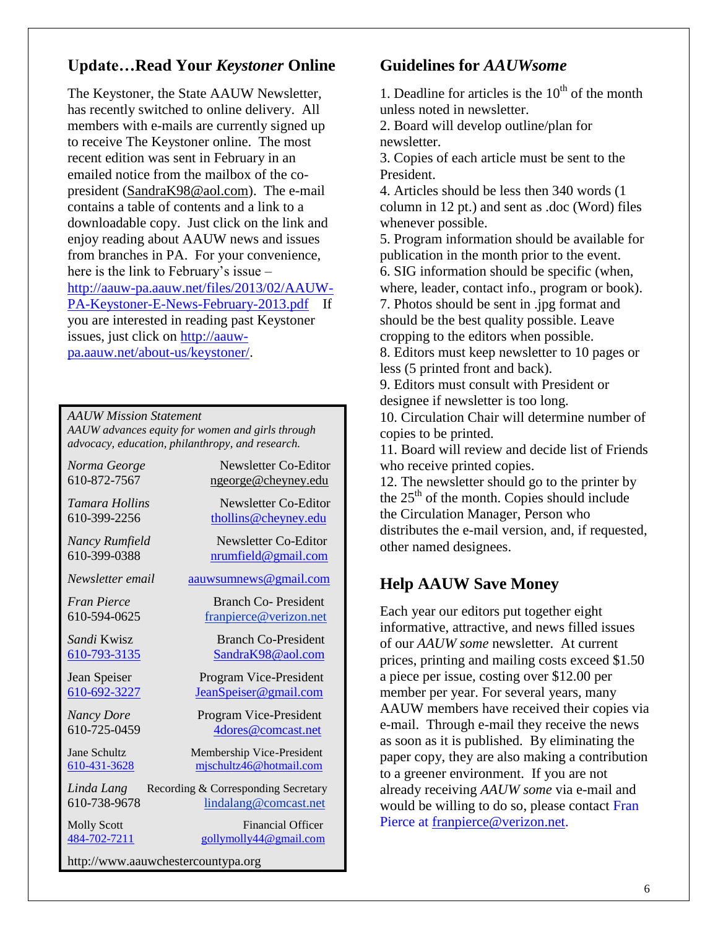#### **Update…Read Your** *Keystoner* **Online**

The Keystoner, the State AAUW Newsletter, has recently switched to online delivery. All members with e-mails are currently signed up to receive The Keystoner online. The most recent edition was sent in February in an emailed notice from the mailbox of the copresident [\(SandraK98@aol.com\)](mailto:SandraK98@aol.com). The e-mail contains a table of contents and a link to a downloadable copy. Just click on the link and enjoy reading about AAUW news and issues from branches in PA. For your convenience, here is the link to February's issue – [http://aauw-pa.aauw.net/files/2013/02/AAUW-](http://aauw-pa.aauw.net/files/2013/02/AAUW-PA-Keystoner-E-News-February-2013.pdf)[PA-Keystoner-E-News-February-2013.pdf](http://aauw-pa.aauw.net/files/2013/02/AAUW-PA-Keystoner-E-News-February-2013.pdf) If you are interested in reading past Keystoner issues, just click on [http://aauw](http://aauw-pa.aauw.net/about-us/keystoner/)[pa.aauw.net/about-us/keystoner/.](http://aauw-pa.aauw.net/about-us/keystoner/)

#### *AAUW Mission Statement*

*AAUW advances equity for women and girls through advocacy, education, philanthropy, and research.*

| Norma George        | Newsletter Co-Editor                |
|---------------------|-------------------------------------|
| 610-872-7567        | ngeorge@cheyney.edu                 |
| Tamara Hollins      | Newsletter Co-Editor                |
| 610-399-2256        | thollins@cheyney.edu                |
| Nancy Rumfield      | Newsletter Co-Editor                |
| 610-399-0388        | nrumfield@gmail.com                 |
| Newsletter email    | aauwsumnews@gmail.com               |
| Fran Pierce         | <b>Branch Co-President</b>          |
| 610-594-0625        | franpierce@verizon.net              |
| <i>Sandi</i> Kwisz  | <b>Branch Co-President</b>          |
| 610-793-3135        | SandraK98@aol.com                   |
| Jean Speiser        | Program Vice-President              |
| 610-692-3227        | JeanSpeiser@gmail.com               |
| <b>Nancy Dore</b>   | Program Vice-President              |
| 610-725-0459        | 4dores@comcast.net                  |
| <b>Jane Schultz</b> | Membership Vice-President           |
| 610-431-3628        | mjschultz46@hotmail.com             |
| Linda Lang          | Recording & Corresponding Secretary |
| 610-738-9678        | lindalang@comcast.net               |
| <b>Molly Scott</b>  | <b>Financial Officer</b>            |
| 484-702-7211        | gollymolly44@gmail.com              |

http://www.aauwchestercountypa.org

#### **Guidelines for** *AAUWsome*

1. Deadline for articles is the  $10<sup>th</sup>$  of the month unless noted in newsletter.

2. Board will develop outline/plan for newsletter.

3. Copies of each article must be sent to the President.

4. Articles should be less then 340 words (1 column in 12 pt.) and sent as .doc (Word) files whenever possible.

5. Program information should be available for publication in the month prior to the event. 6. SIG information should be specific (when,

where, leader, contact info., program or book). 7. Photos should be sent in .jpg format and should be the best quality possible. Leave

cropping to the editors when possible. 8. Editors must keep newsletter to 10 pages or less (5 printed front and back).

9. Editors must consult with President or designee if newsletter is too long.

10. Circulation Chair will determine number of copies to be printed.

11. Board will review and decide list of Friends who receive printed copies.

12. The newsletter should go to the printer by the  $25<sup>th</sup>$  of the month. Copies should include the Circulation Manager, Person who distributes the e-mail version, and, if requested, other named designees.

#### **Help AAUW Save Money**

Each year our editors put together eight informative, attractive, and news filled issues of our *AAUW some* newsletter. At current prices, printing and mailing costs exceed \$1.50 a piece per issue, costing over \$12.00 per member per year. For several years, many AAUW members have received their copies via e-mail. Through e-mail they receive the news as soon as it is published. By eliminating the paper copy, they are also making a contribution to a greener environment. If you are not already receiving *AAUW some* via e-mail and would be willing to do so, please contact Fran Pierce at [franpierce@verizon.net.](mailto:franpierce@verizon.net)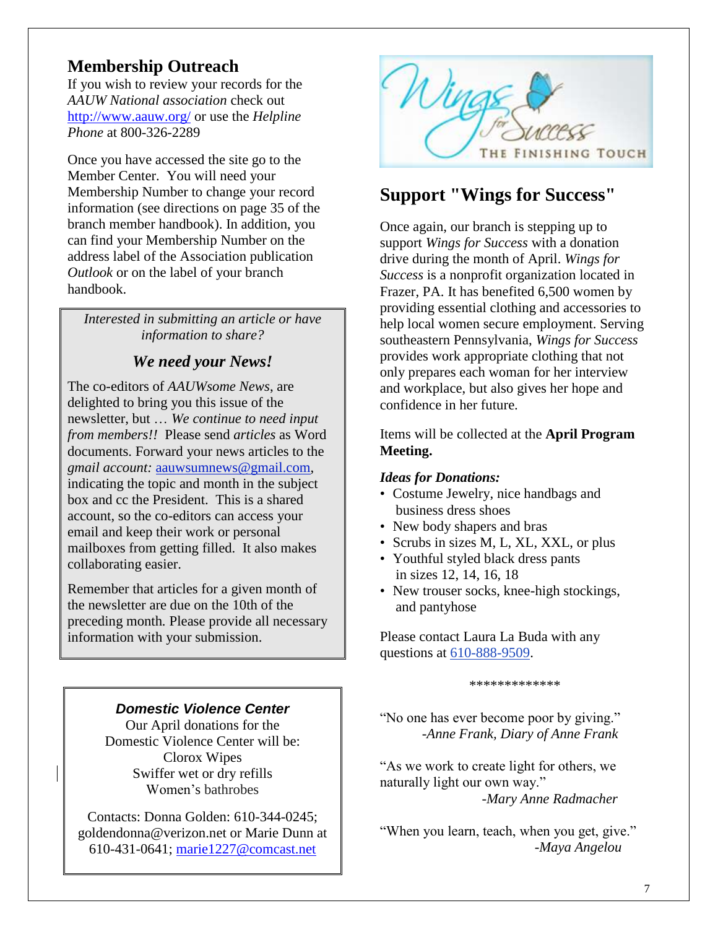## **Membership Outreach**

If you wish to review your records for the *AAUW National association* check out <http://www.aauw.org/> or use the *Helpline Phone* at 800-326-2289

Once you have accessed the site go to the Member Center. You will need your Membership Number to change your record information (see directions on page 35 of the branch member handbook). In addition, you can find your Membership Number on the address label of the Association publication *Outlook* or on the label of your branch handbook.

*Interested in submitting an article or have information to share?*

## *We need your News!*

The co-editors of *AAUWsome News*, are delighted to bring you this issue of the newsletter, but … *We continue to need input from members!!* Please send *articles* as Word documents. Forward your news articles to the *gmail account:* [aauwsumnews@gmail.com,](mailto:aauwsum@gmail.com) indicating the topic and month in the subject box and cc the President. This is a shared account, so the co-editors can access your email and keep their work or personal mailboxes from getting filled. It also makes collaborating easier.

Remember that articles for a given month of the newsletter are due on the 10th of the preceding month*.* Please provide all necessary information with your submission.



## **Support "Wings for Success"**

Once again, our branch is stepping up to support *Wings for Success* with a donation drive during the month of April. *Wings for Success* is a nonprofit organization located in Frazer, PA. It has benefited 6,500 women by providing essential clothing and accessories to help local women secure employment. Serving southeastern Pennsylvania, *Wings for Success* provides work appropriate clothing that not only prepares each woman for her interview and workplace, but also gives her hope and confidence in her future.

Items will be collected at the **April Program Meeting.**

#### *Ideas for Donations:*

- Costume Jewelry, nice handbags and business dress shoes
- New body shapers and bras
- Scrubs in sizes M, L, XL, XXL, or plus
- Youthful styled black dress pants in sizes 12, 14, 16, 18
- New trouser socks, knee-high stockings, and pantyhose

Please contact Laura La Buda with any questions at [610-888-9509.](tel:/610-888-9509)

\*\*\*\*\*\*\*\*\*\*\*\*\*

"No one has ever become poor by giving." *-Anne Frank, Diary of Anne Frank*

"As we work to create light for others, we naturally light our own way."  *-Mary Anne Radmacher*

"When you learn, teach, when you get, give."  *-Maya Angelou*

#### *Domestic Violence Center*

Our April donations for the Domestic Violence Center will be: Clorox Wipes Swiffer wet or dry refills Women's bathrobes

Contacts: Donna Golden: 610-344-0245; goldendonna@verizon.net or Marie Dunn at 610-431-0641; [marie1227@comcast.net](mailto:marie1227@comcast.net)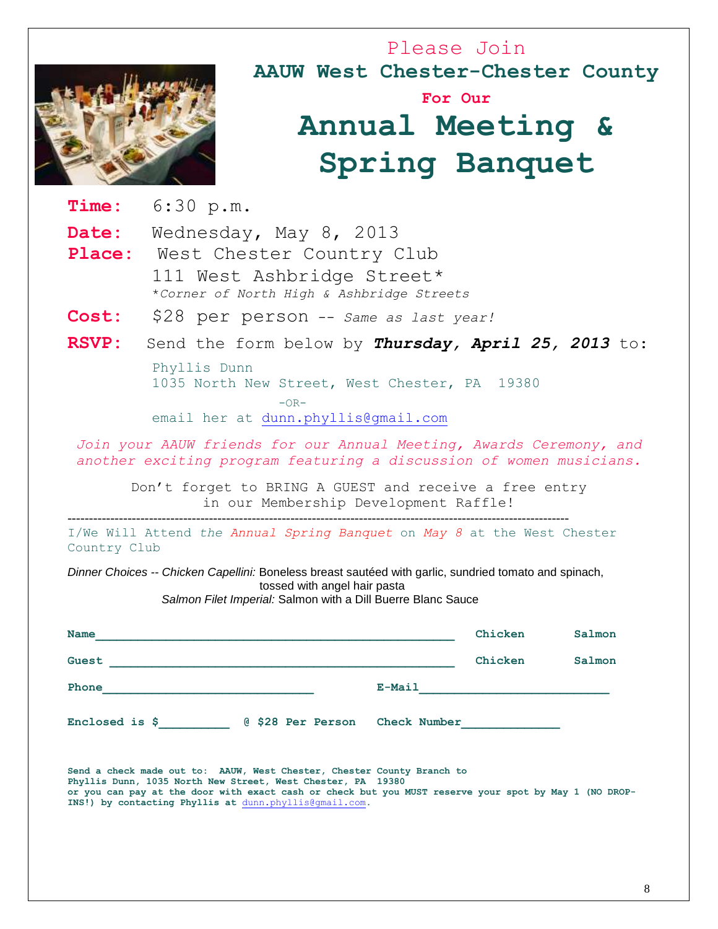

Please Join **AAUW West Chester-Chester County**

#### **For Our**

# **Annual Meeting & Spring Banquet**

**Time:** 6:30 p.m.

**Date:** Wednesday, May 8, 2013

- **Place:** West Chester Country Club 111 West Ashbridge Street\* \**Corner of North High & Ashbridge Streets*
- **Cost:** \$28 per person -- *Same as last year!*
- **RSVP:** Send the form below by *Thursday, April 25, 2013* to:

Phyllis Dunn 1035 North New Street, West Chester, PA 19380  $-OP$ email her at [dunn.phyllis@gmail.com](mailto:dunn.phyllis@gmail.com)

*Join your AAUW friends for our Annual Meeting, Awards Ceremony, and another exciting program featuring a discussion of women musicians.*

Don't forget to BRING A GUEST and receive a free entry in our Membership Development Raffle!

--------------------------------------------------------------------------------------------------------------------- I/We Will Attend *the Annual Spring Banquet* on *May 8* at the West Chester Country Club

*Dinner Choices -- Chicken Capellini:* Boneless breast sautéed with garlic, sundried tomato and spinach, tossed with angel hair pasta  *Salmon Filet Imperial:* Salmon with a Dill Buerre Blanc Sauce

| <b>Name</b>                                                | Chicken<br>Salmon |
|------------------------------------------------------------|-------------------|
| Guest                                                      | Chicken<br>Salmon |
| Phone<br>E-Mail                                            |                   |
| Enclosed is \$<br>@ \$28 Per Person<br><b>Check Number</b> |                   |

**Send a check made out to: AAUW, West Chester, Chester County Branch to Phyllis Dunn, 1035 North New Street, West Chester, PA 19380 or you can pay at the door with exact cash or check but you MUST reserve your spot by May 1 (NO DROP-INS!) by contacting Phyllis at** [dunn.phyllis@gmail.com](mailto:dunn.phyllis@gmail.com)**.**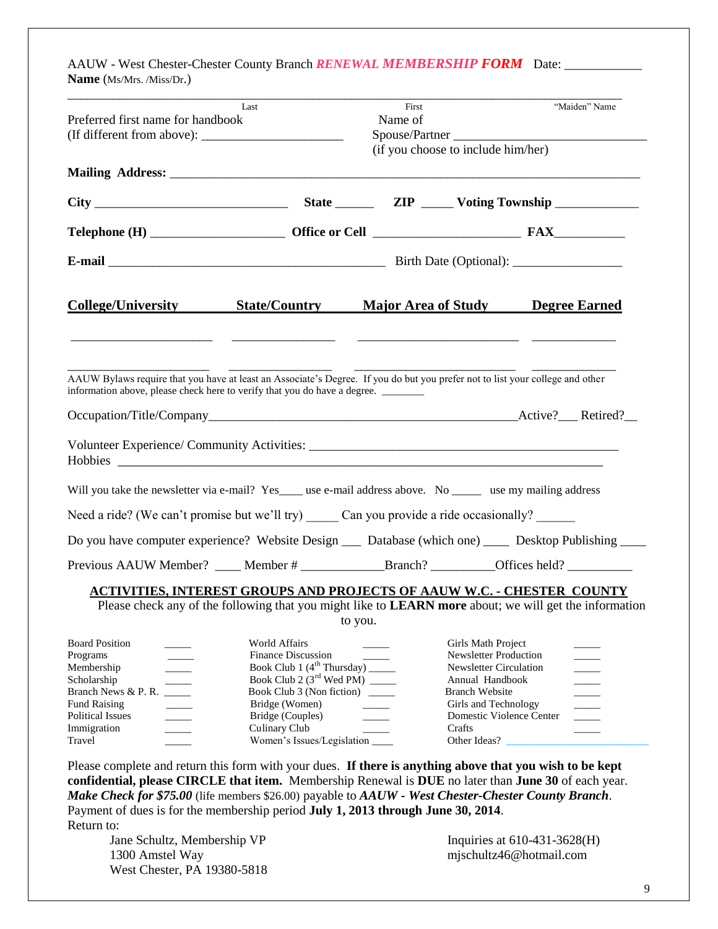AAUW - West Chester-Chester County Branch *RENEWAL MEMBERSHIP FORM* Date: \_\_\_\_\_\_\_\_\_\_\_\_ **Name** (Ms/Mrs. /Miss/Dr.)

|                                                | Last                                                                                                                                                                                                              | First                              |                                                        | "Maiden" Name        |
|------------------------------------------------|-------------------------------------------------------------------------------------------------------------------------------------------------------------------------------------------------------------------|------------------------------------|--------------------------------------------------------|----------------------|
| Preferred first name for handbook              |                                                                                                                                                                                                                   | Name of                            |                                                        |                      |
|                                                |                                                                                                                                                                                                                   | (if you choose to include him/her) |                                                        | Spouse/Partner       |
|                                                |                                                                                                                                                                                                                   |                                    |                                                        |                      |
|                                                |                                                                                                                                                                                                                   |                                    |                                                        |                      |
|                                                |                                                                                                                                                                                                                   |                                    |                                                        |                      |
|                                                |                                                                                                                                                                                                                   |                                    |                                                        |                      |
|                                                |                                                                                                                                                                                                                   |                                    |                                                        |                      |
|                                                |                                                                                                                                                                                                                   |                                    |                                                        |                      |
| <b>College/University</b>                      | <b>State/Country</b>                                                                                                                                                                                              | <u>Major Area of Study</u>         |                                                        | <b>Degree Earned</b> |
|                                                |                                                                                                                                                                                                                   |                                    |                                                        |                      |
|                                                |                                                                                                                                                                                                                   |                                    |                                                        |                      |
|                                                | AAUW Bylaws require that you have at least an Associate's Degree. If you do but you prefer not to list your college and other<br>information above, please check here to verify that you do have a degree. ______ |                                    |                                                        |                      |
|                                                |                                                                                                                                                                                                                   |                                    |                                                        |                      |
|                                                |                                                                                                                                                                                                                   |                                    |                                                        |                      |
|                                                |                                                                                                                                                                                                                   |                                    |                                                        |                      |
|                                                | Will you take the newsletter via e-mail? Yes____ use e-mail address above. No _____ use my mailing address                                                                                                        |                                    |                                                        |                      |
|                                                | Need a ride? (We can't promise but we'll try) ______ Can you provide a ride occasionally? _______                                                                                                                 |                                    |                                                        |                      |
|                                                | Do you have computer experience? Website Design __ Database (which one) __ Desktop Publishing __                                                                                                                  |                                    |                                                        |                      |
|                                                |                                                                                                                                                                                                                   |                                    |                                                        |                      |
|                                                | <u>ACTIVITIES, INTEREST GROUPS AND PROJECTS OF AAUW W.C. - CHESTER  COUNTY</u>                                                                                                                                    |                                    |                                                        |                      |
|                                                | Please check any of the following that you might like to <b>LEARN</b> more about; we will get the information                                                                                                     |                                    |                                                        |                      |
|                                                |                                                                                                                                                                                                                   | to you.                            |                                                        |                      |
| <b>Board Position</b>                          | World Affairs                                                                                                                                                                                                     |                                    | Girls Math Project                                     |                      |
| Programs<br>Membership                         | <b>Finance Discussion</b><br>Book Club 1 (4 <sup>th</sup> Thursday) _____                                                                                                                                         |                                    | <b>Newsletter Production</b><br>Newsletter Circulation |                      |
| Scholarship                                    | Book Club 2 $(3^{\text{rd}}$ Wed PM) ______                                                                                                                                                                       |                                    | Annual Handbook                                        |                      |
| Branch News & P. R.                            | Book Club 3 (Non fiction)                                                                                                                                                                                         |                                    | <b>Branch Website</b>                                  |                      |
| <b>Fund Raising</b><br><b>Political Issues</b> | Bridge (Women)<br>Bridge (Couples)                                                                                                                                                                                |                                    | Girls and Technology<br>Domestic Violence Center       |                      |
| Immigration                                    | Culinary Club                                                                                                                                                                                                     |                                    | Crafts                                                 |                      |

Please complete and return this form with your dues. **If there is anything above that you wish to be kept confidential, please CIRCLE that item.** Membership Renewal is **DUE** no later than **June 30** of each year. *Make Check for \$75.00* (life members \$26.00) payable to *AAUW - West Chester-Chester County Branch*. Payment of dues is for the membership period **July 1, 2013 through June 30, 2014**. Return to:

Travel \_\_\_\_\_ Women's Issues/Legislation \_\_\_\_ Other Ideas? \_\_\_\_\_\_\_\_\_\_\_\_\_\_\_\_\_\_\_\_\_\_\_\_\_\_\_

Jane Schultz, Membership VP Inquiries at 610-431-3628(H) 1300 Amstel Way mjschultz46@hotmail.com West Chester, PA 19380-5818